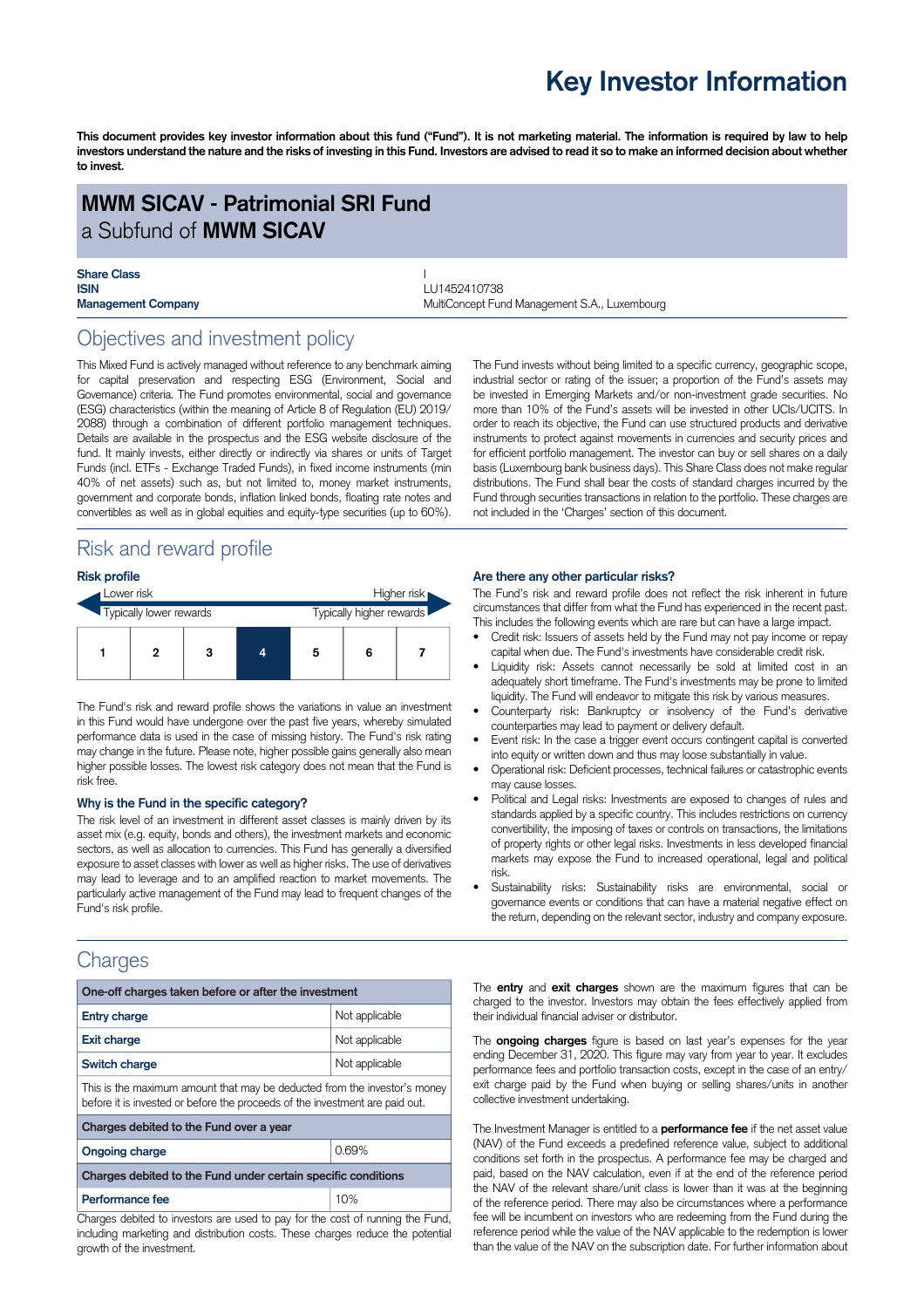## **Key Investor Information**

This document provides key investor information about this fund ("Fund"). It is not marketing material. The information is required by law to help investors understand the nature and the risks of investing in this Fund. Investors are advised to read it so to make an informed decision about whether **to invest.**

### **MWM SICAV - Patrimonial SRI Fund** a Subfund of **MWM SICAV**

# **Share Class** I

**ISIN** LU1452410738 **Management Company MultiConcept Fund Management S.A., Luxembourg Company** 

### Objectives and investment policy

This Mixed Fund is actively managed without reference to any benchmark aiming for capital preservation and respecting ESG (Environment, Social and Governance) criteria. The Fund promotes environmental, social and governance (ESG) characteristics (within the meaning of Article 8 of Regulation (EU) 2019/ 2088) through a combination of different portfolio management techniques. Details are available in the prospectus and the ESG website disclosure of the fund. It mainly invests, either directly or indirectly via shares or units of Target Funds (incl. ETFs - Exchange Traded Funds), in fixed income instruments (min 40% of net assets) such as, but not limited to, money market instruments, government and corporate bonds, inflation linked bonds, floating rate notes and convertibles as well as in global equities and equity-type securities (up to 60%).

### Risk and reward profile

#### **Risk profile**

| Lower risk |                         |  |   |  |   | Higher risk              |  |  |
|------------|-------------------------|--|---|--|---|--------------------------|--|--|
|            | Typically lower rewards |  |   |  |   | Typically higher rewards |  |  |
|            |                         |  | 3 |  | 5 | 6                        |  |  |

The Fund's risk and reward profile shows the variations in value an investment in this Fund would have undergone over the past five years, whereby simulated performance data is used in the case of missing history. The Fund's risk rating may change in the future. Please note, higher possible gains generally also mean higher possible losses. The lowest risk category does not mean that the Fund is risk free.

#### **Why is the Fund in the specific category?**

The risk level of an investment in different asset classes is mainly driven by its asset mix (e.g. equity, bonds and others), the investment markets and economic sectors, as well as allocation to currencies. This Fund has generally a diversified exposure to asset classes with lower as well as higher risks. The use of derivatives may lead to leverage and to an amplified reaction to market movements. The particularly active management of the Fund may lead to frequent changes of the Fund's risk profile.

### **Charges**

| One-off charges taken before or after the investment                                                                                                      |                |  |  |  |  |  |
|-----------------------------------------------------------------------------------------------------------------------------------------------------------|----------------|--|--|--|--|--|
| <b>Entry charge</b>                                                                                                                                       | Not applicable |  |  |  |  |  |
| <b>Exit charge</b>                                                                                                                                        | Not applicable |  |  |  |  |  |
| Switch charge                                                                                                                                             | Not applicable |  |  |  |  |  |
| This is the maximum amount that may be deducted from the investor's money<br>before it is invested or before the proceeds of the investment are paid out. |                |  |  |  |  |  |
| Charges debited to the Fund over a year                                                                                                                   |                |  |  |  |  |  |
| <b>Ongoing charge</b>                                                                                                                                     | 0.69%          |  |  |  |  |  |
| Charges debited to the Fund under certain specific conditions                                                                                             |                |  |  |  |  |  |
| Performance fee                                                                                                                                           | 10%            |  |  |  |  |  |

Charges debited to investors are used to pay for the cost of running the Fund, including marketing and distribution costs. These charges reduce the potential growth of the investment.

The Fund invests without being limited to a specific currency, geographic scope, industrial sector or rating of the issuer; a proportion of the Fund's assets may be invested in Emerging Markets and/or non-investment grade securities. No more than 10% of the Fund's assets will be invested in other UCIs/UCITS. In order to reach its objective, the Fund can use structured products and derivative instruments to protect against movements in currencies and security prices and for efficient portfolio management. The investor can buy or sell shares on a daily basis (Luxembourg bank business days). This Share Class does not make regular distributions. The Fund shall bear the costs of standard charges incurred by the Fund through securities transactions in relation to the portfolio. These charges are not included in the 'Charges' section of this document.

#### **Are there any other particular risks?**

The Fund's risk and reward profile does not reflect the risk inherent in future circumstances that differ from what the Fund has experienced in the recent past. This includes the following events which are rare but can have a large impact.

- Credit risk: Issuers of assets held by the Fund may not pay income or repay capital when due. The Fund's investments have considerable credit risk.
- Liquidity risk: Assets cannot necessarily be sold at limited cost in an adequately short timeframe. The Fund's investments may be prone to limited liquidity. The Fund will endeavor to mitigate this risk by various measures.
- Counterparty risk: Bankruptcy or insolvency of the Fund's derivative counterparties may lead to payment or delivery default.
- Event risk: In the case a trigger event occurs contingent capital is converted into equity or written down and thus may loose substantially in value.
- Operational risk: Deficient processes, technical failures or catastrophic events may cause losses.
- Political and Legal risks: Investments are exposed to changes of rules and standards applied by a specific country. This includes restrictions on currency convertibility, the imposing of taxes or controls on transactions, the limitations of property rights or other legal risks. Investments in less developed financial markets may expose the Fund to increased operational, legal and political risk.
- Sustainability risks: Sustainability risks are environmental, social or governance events or conditions that can have a material negative effect on the return, depending on the relevant sector, industry and company exposure.

The **entry** and **exit charges** shown are the maximum figures that can be charged to the investor. Investors may obtain the fees effectively applied from their individual financial adviser or distributor.

The **ongoing charges** figure is based on last year's expenses for the year ending December 31, 2020. This figure may vary from year to year. It excludes performance fees and portfolio transaction costs, except in the case of an entry/ exit charge paid by the Fund when buying or selling shares/units in another collective investment undertaking.

The Investment Manager is entitled to a **performance fee** if the net asset value (NAV) of the Fund exceeds a predefined reference value, subject to additional conditions set forth in the prospectus. A performance fee may be charged and paid, based on the NAV calculation, even if at the end of the reference period the NAV of the relevant share/unit class is lower than it was at the beginning of the reference period. There may also be circumstances where a performance fee will be incumbent on investors who are redeeming from the Fund during the reference period while the value of the NAV applicable to the redemption is lower than the value of the NAV on the subscription date. For further information about